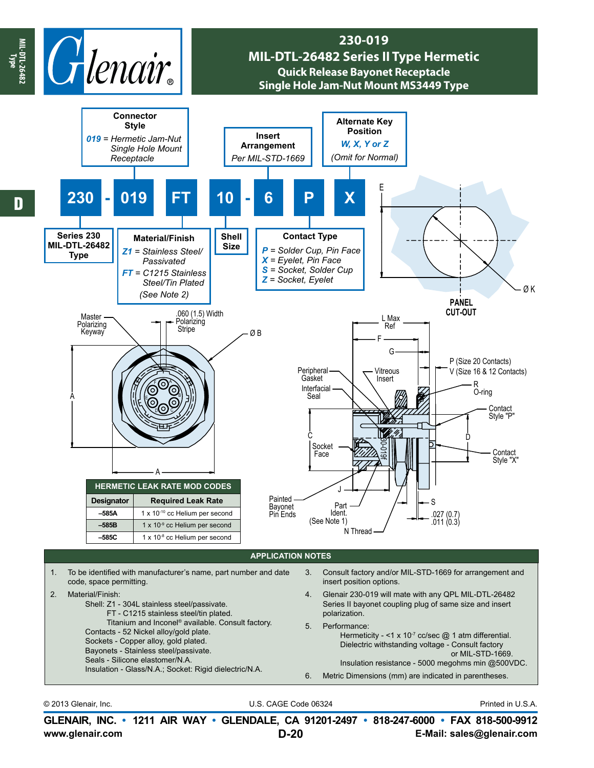

© 2013 Glenair, Inc. U.S. CAGE Code 06324 Printed in U.S.A.

**www.glenair.com E-Mail: sales@glenair.com GLENAIR, INC. • 1211 AIR WAY • GLENDALE, CA 91201-2497 • 818-247-6000 • FAX 818-500-9912 D-20**